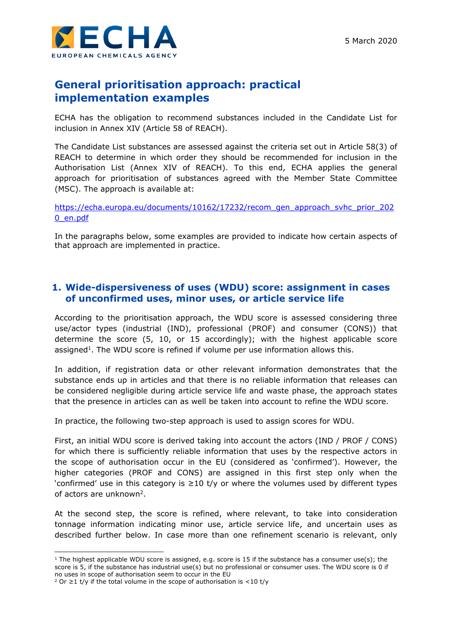

# **General prioritisation approach: practical implementation examples**

ECHA has the obligation to recommend substances included in the Candidate List for inclusion in Annex XIV (Article 58 of REACH).

The Candidate List substances are assessed against the criteria set out in Article 58(3) of REACH to determine in which order they should be recommended for inclusion in the Authorisation List (Annex XIV of REACH). To this end, ECHA applies the general approach for prioritisation of substances agreed with the Member State Committee (MSC). The approach is available at:

[https://echa.europa.eu/documents/10162/17232/recom\\_gen\\_approach\\_svhc\\_prior\\_202](https://echa.europa.eu/documents/10162/17232/recom_gen_approach_svhc_prior_2020_en.pdf) [0\\_en.pdf](https://echa.europa.eu/documents/10162/17232/recom_gen_approach_svhc_prior_2020_en.pdf)

In the paragraphs below, some examples are provided to indicate how certain aspects of that approach are implemented in practice.

# **1. Wide-dispersiveness of uses (WDU) score: assignment in cases of unconfirmed uses, minor uses, or article service life**

According to the prioritisation approach, the WDU score is assessed considering three use/actor types (industrial (IND), professional (PROF) and consumer (CONS)) that determine the score (5, 10, or 15 accordingly); with the highest applicable score assigned<sup>1</sup>. The WDU score is refined if volume per use information allows this.

In addition, if registration data or other relevant information demonstrates that the substance ends up in articles and that there is no reliable information that releases can be considered negligible during article service life and waste phase, the approach states that the presence in articles can as well be taken into account to refine the WDU score.

In practice, the following two-step approach is used to assign scores for WDU.

First, an initial WDU score is derived taking into account the actors (IND / PROF / CONS) for which there is sufficiently reliable information that uses by the respective actors in the scope of authorisation occur in the EU (considered as 'confirmed'). However, the higher categories (PROF and CONS) are assigned in this first step only when the 'confirmed' use in this category is ≥10 t/y or where the volumes used by different types of actors are unknown<sup>2</sup>.

At the second step, the score is refined, where relevant, to take into consideration tonnage information indicating minor use, article service life, and uncertain uses as described further below. In case more than one refinement scenario is relevant, only

<sup>1</sup> The highest applicable WDU score is assigned, e.g. score is 15 if the substance has a consumer use(s); the score is 5, if the substance has industrial use(s) but no professional or consumer uses. The WDU score is 0 if no uses in scope of authorisation seem to occur in the EU

<sup>&</sup>lt;sup>2</sup> Or ≥1 t/y if the total volume in the scope of authorisation is <10 t/y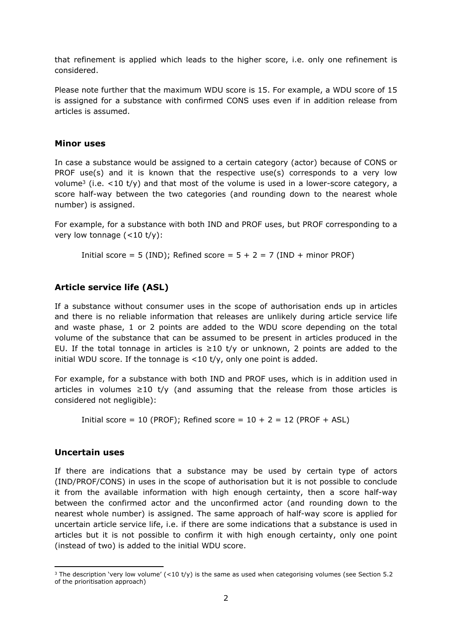that refinement is applied which leads to the higher score, i.e. only one refinement is considered.

Please note further that the maximum WDU score is 15. For example, a WDU score of 15 is assigned for a substance with confirmed CONS uses even if in addition release from articles is assumed.

#### **Minor uses**

In case a substance would be assigned to a certain category (actor) because of CONS or PROF use(s) and it is known that the respective use(s) corresponds to a very low volume<sup>3</sup> (i.e.  $\lt 10$  t/y) and that most of the volume is used in a lower-score category, a score half-way between the two categories (and rounding down to the nearest whole number) is assigned.

For example, for a substance with both IND and PROF uses, but PROF corresponding to a very low tonnage  $(<10 \t{t/y}$ :

Initial score = 5 (IND); Refined score =  $5 + 2 = 7$  (IND + minor PROF)

### **Article service life (ASL)**

If a substance without consumer uses in the scope of authorisation ends up in articles and there is no reliable information that releases are unlikely during article service life and waste phase, 1 or 2 points are added to the WDU score depending on the total volume of the substance that can be assumed to be present in articles produced in the EU. If the total tonnage in articles is  $\geq 10$  t/y or unknown, 2 points are added to the initial WDU score. If the tonnage is  $\langle 10 \text{ t/y} \rangle$ , only one point is added.

For example, for a substance with both IND and PROF uses, which is in addition used in articles in volumes  $\geq 10$  t/y (and assuming that the release from those articles is considered not negligible):

Initial score = 10 (PROF); Refined score =  $10 + 2 = 12$  (PROF + ASL)

#### **Uncertain uses**

If there are indications that a substance may be used by certain type of actors (IND/PROF/CONS) in uses in the scope of authorisation but it is not possible to conclude it from the available information with high enough certainty, then a score half-way between the confirmed actor and the unconfirmed actor (and rounding down to the nearest whole number) is assigned. The same approach of half-way score is applied for uncertain article service life, i.e. if there are some indications that a substance is used in articles but it is not possible to confirm it with high enough certainty, only one point (instead of two) is added to the initial WDU score.

<sup>&</sup>lt;sup>3</sup> The description 'very low volume' (<10 t/y) is the same as used when categorising volumes (see Section 5.2 of the prioritisation approach)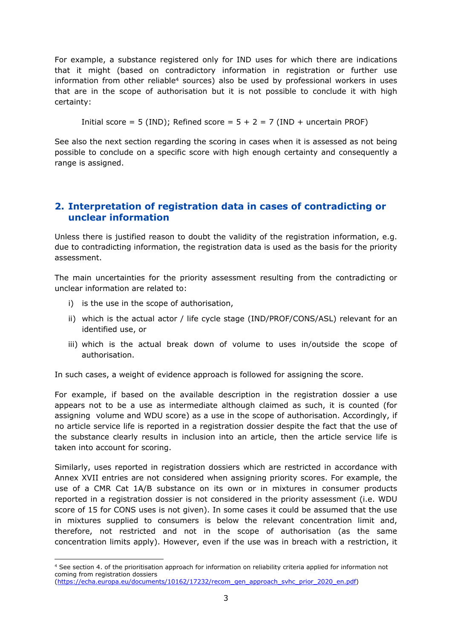For example, a substance registered only for IND uses for which there are indications that it might (based on contradictory information in registration or further use information from other reliable<sup>4</sup> sources) also be used by professional workers in uses that are in the scope of authorisation but it is not possible to conclude it with high certainty:

Initial score = 5 (IND); Refined score =  $5 + 2 = 7$  (IND + uncertain PROF)

See also the next section regarding the scoring in cases when it is assessed as not being possible to conclude on a specific score with high enough certainty and consequently a range is assigned.

# **2. Interpretation of registration data in cases of contradicting or unclear information**

Unless there is justified reason to doubt the validity of the registration information, e.g. due to contradicting information, the registration data is used as the basis for the priority assessment.

The main uncertainties for the priority assessment resulting from the contradicting or unclear information are related to:

- i) is the use in the scope of authorisation,
- ii) which is the actual actor / life cycle stage (IND/PROF/CONS/ASL) relevant for an identified use, or
- iii) which is the actual break down of volume to uses in/outside the scope of authorisation.

In such cases, a weight of evidence approach is followed for assigning the score.

For example, if based on the available description in the registration dossier a use appears not to be a use as intermediate although claimed as such, it is counted (for assigning volume and WDU score) as a use in the scope of authorisation. Accordingly, if no article service life is reported in a registration dossier despite the fact that the use of the substance clearly results in inclusion into an article, then the article service life is taken into account for scoring.

Similarly, uses reported in registration dossiers which are restricted in accordance with Annex XVII entries are not considered when assigning priority scores. For example, the use of a CMR Cat 1A/B substance on its own or in mixtures in consumer products reported in a registration dossier is not considered in the priority assessment (i.e. WDU score of 15 for CONS uses is not given). In some cases it could be assumed that the use in mixtures supplied to consumers is below the relevant concentration limit and, therefore, not restricted and not in the scope of authorisation (as the same concentration limits apply). However, even if the use was in breach with a restriction, it

<sup>4</sup> See section 4. of the prioritisation approach for information on reliability criteria applied for information not coming from registration dossiers

<sup>(</sup>[https://echa.europa.eu/documents/10162/17232/recom\\_gen\\_approach\\_svhc\\_prior\\_2020\\_en.pdf](https://echa.europa.eu/documents/10162/17232/recom_gen_approach_svhc_prior_2020_en.pdf))